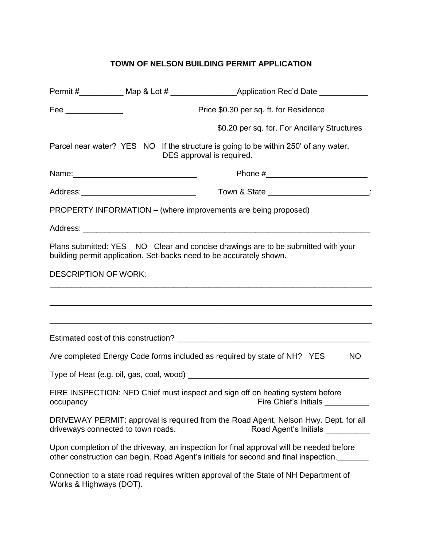## **TOWN OF NELSON BUILDING PERMIT APPLICATION**

|                                                                                                                                                                |  | Permit #_____________ Map & Lot # _________________________Application Rec'd Date ________________                                                                              |  |
|----------------------------------------------------------------------------------------------------------------------------------------------------------------|--|---------------------------------------------------------------------------------------------------------------------------------------------------------------------------------|--|
| Fee ______________                                                                                                                                             |  | Price \$0.30 per sq. ft. for Residence                                                                                                                                          |  |
|                                                                                                                                                                |  | \$0.20 per sq. for. For Ancillary Structures                                                                                                                                    |  |
|                                                                                                                                                                |  | Parcel near water? YES NO If the structure is going to be within 250' of any water,<br>DES approval is required.                                                                |  |
|                                                                                                                                                                |  |                                                                                                                                                                                 |  |
|                                                                                                                                                                |  | Town & State ________________________:                                                                                                                                          |  |
|                                                                                                                                                                |  | PROPERTY INFORMATION – (where improvements are being proposed)                                                                                                                  |  |
|                                                                                                                                                                |  |                                                                                                                                                                                 |  |
| Plans submitted: YES NO Clear and concise drawings are to be submitted with your<br>building permit application. Set-backs need to be accurately shown.        |  |                                                                                                                                                                                 |  |
| <b>DESCRIPTION OF WORK:</b>                                                                                                                                    |  |                                                                                                                                                                                 |  |
|                                                                                                                                                                |  |                                                                                                                                                                                 |  |
|                                                                                                                                                                |  | ,我们也不能在这里的,我们也不能在这里的时候,我们也不能在这里的时候,我们也不能会不能会不能会不能会不能会不能会不能会。""我们的人们也不能会不能会不能会不能会<br>,我们也不能在这里的时候,我们也不能在这里的时候,我们也不能在这里的时候,我们也不能会在这里的时候,我们也不能会在这里的时候,我们也不能会在这里的时候,我们也不            |  |
|                                                                                                                                                                |  |                                                                                                                                                                                 |  |
|                                                                                                                                                                |  | Are completed Energy Code forms included as required by state of NH? YES<br><b>NO</b>                                                                                           |  |
|                                                                                                                                                                |  |                                                                                                                                                                                 |  |
| FIRE INSPECTION: NFD Chief must inspect and sign off on heating system before<br>Fire Chief's Initials __________<br>occupancy                                 |  |                                                                                                                                                                                 |  |
| DRIVEWAY PERMIT: approval is required from the Road Agent, Nelson Hwy. Dept. for all<br>driveways connected to town roads.<br>Road Agent's Initials __________ |  |                                                                                                                                                                                 |  |
|                                                                                                                                                                |  | Upon completion of the driveway, an inspection for final approval will be needed before<br>other construction can begin. Road Agent's initials for second and final inspection. |  |
| Connection to a state road requires written approval of the State of NH Department of<br>Works & Highways (DOT).                                               |  |                                                                                                                                                                                 |  |